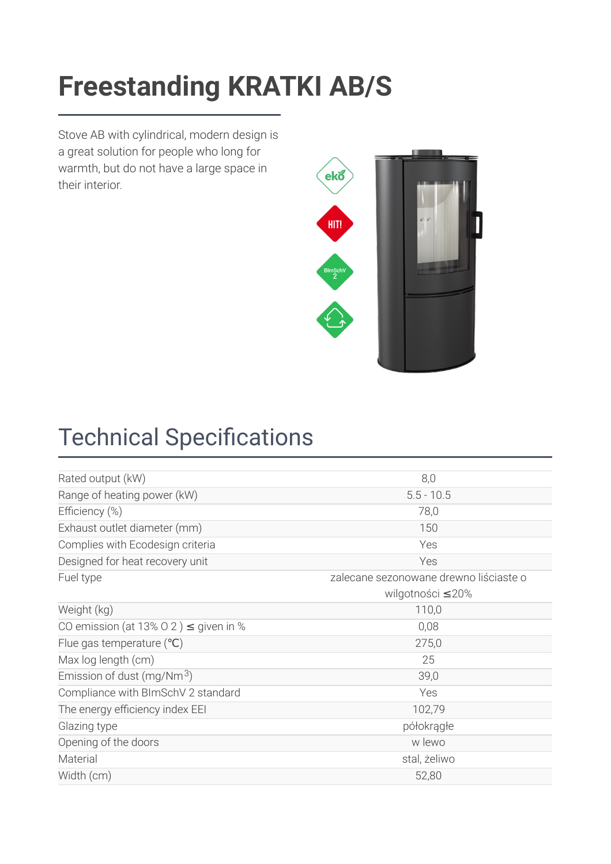### Freestanding KRATKI AB/S **[Freestanding KRATKI AB/S](https://kratki.com/sklep/en/produkt/2421/freestanding-stove-ab-s-dr)**

Stove AB with cylindrical, modern design is a great solution for people who long for warmth, but do not have a large space in their interior.



# **Technical Specifications**

| Rated output (kW)                          | 8,0                                    |
|--------------------------------------------|----------------------------------------|
| Range of heating power (kW)                | $5.5 - 10.5$                           |
| Efficiency (%)                             | 78,0                                   |
| Exhaust outlet diameter (mm)               | 150                                    |
| Complies with Ecodesign criteria           | Yes                                    |
| Designed for heat recovery unit            | Yes                                    |
| Fuel type                                  | zalecane sezonowane drewno liściaste o |
|                                            | wilgotności ≤20%                       |
| Weight (kg)                                | 110,0                                  |
| CO emission (at 13% O 2) $\leq$ given in % | 0,08                                   |
| Flue gas temperature $(°C)$                | 275,0                                  |
| Max log length (cm)                        | 25                                     |
| Emission of dust (mg/Nm $3$ )              | 39,0                                   |
| Compliance with BImSchV 2 standard         | Yes                                    |
| The energy efficiency index EEI            | 102,79                                 |
| Glazing type                               | półokrągłe                             |
| Opening of the doors                       | w lewo                                 |
| Material                                   | stal, żeliwo                           |
| Width (cm)                                 | 52,80                                  |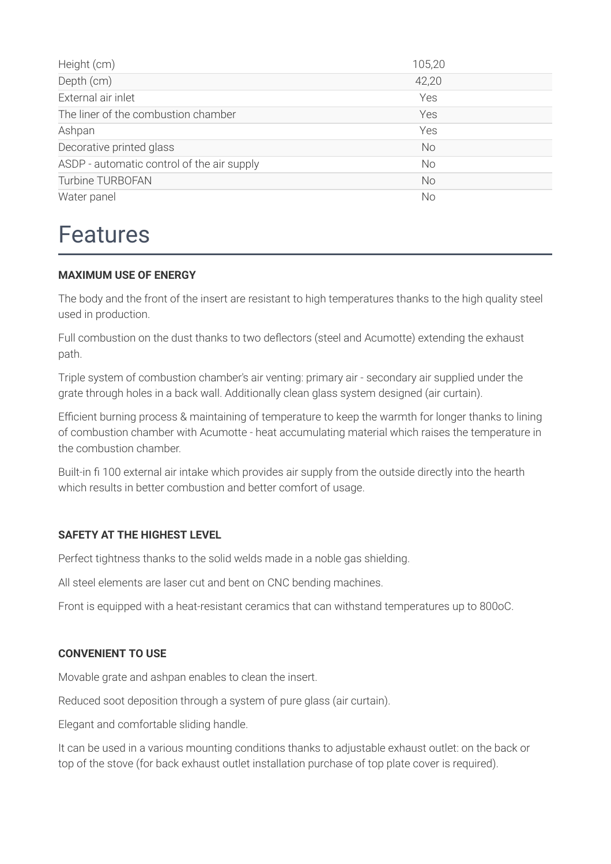| Height (cm)                                | 105,20    |
|--------------------------------------------|-----------|
| Depth (cm)                                 | 42,20     |
| External air inlet                         | Yes       |
| The liner of the combustion chamber        | Yes       |
| Ashpan                                     | Yes       |
| Decorative printed glass                   | <b>No</b> |
| ASDP - automatic control of the air supply | <b>No</b> |
| <b>Turbine TURBOFAN</b>                    | <b>No</b> |
| Water panel                                | No        |

### Features

#### **MAXIMUM USE OF ENERGY**

The body and the front of the insert are resistant to high temperatures thanks to the high quality steel used in production.

Full combustion on the dust thanks to two deflectors (steel and Acumotte) extending the exhaust path.

Triple system of combustion chamber's air venting: primary air - secondary air supplied under the grate through holes in a back wall. Additionally clean glass system designed (air curtain).

Efficient burning process & maintaining of temperature to keep the warmth for longer thanks to lining of combustion chamber with Acumotte - heat accumulating material which raises the temperature in the combustion chamber.

Built-in fi 100 external air intake which provides air supply from the outside directly into the hearth which results in better combustion and better comfort of usage.

#### **SAFETY AT THE HIGHEST LEVEL**

Perfect tightness thanks to the solid welds made in a noble gas shielding.

All steel elements are laser cut and bent on CNC bending machines.

Front is equipped with a heat-resistant ceramics that can withstand temperatures up to 800oC.

#### **CONVENIENT TO USE**

Movable grate and ashpan enables to clean the insert.

Reduced soot deposition through a system of pure glass (air curtain).

Elegant and comfortable sliding handle.

It can be used in a various mounting conditions thanks to adjustable exhaust outlet: on the back or top of the stove (for back exhaust outlet installation purchase of top plate cover is required).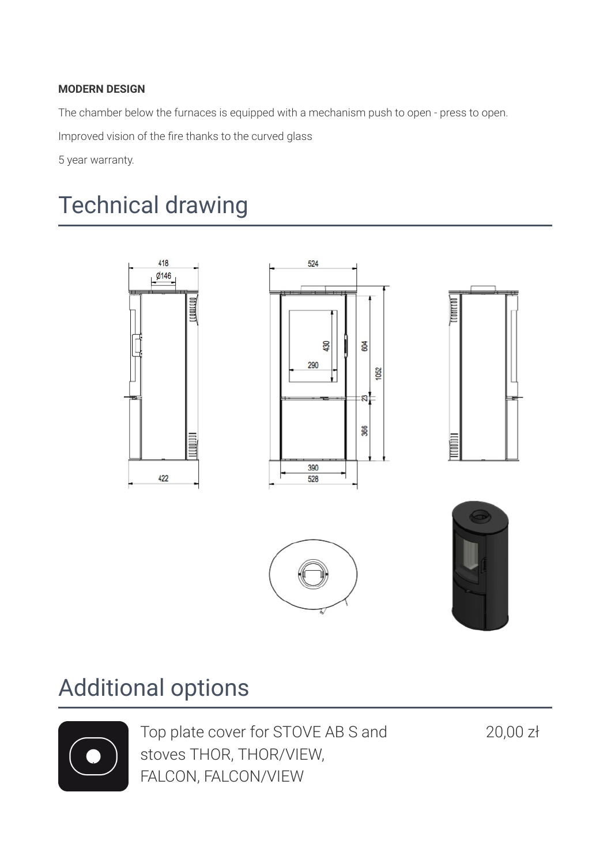#### **MODERN DESIGN**

The chamber below the furnaces is equipped with a mechanism push to open - press to open.

Improved vision of the fire thanks to the curved glass

5 year warranty.

# Technical drawing



## Additional options



Top plate cover for STOVE AB S and stoves THOR, THOR/VIEW, FALCON, FALCON/VIEW

20,00 zł